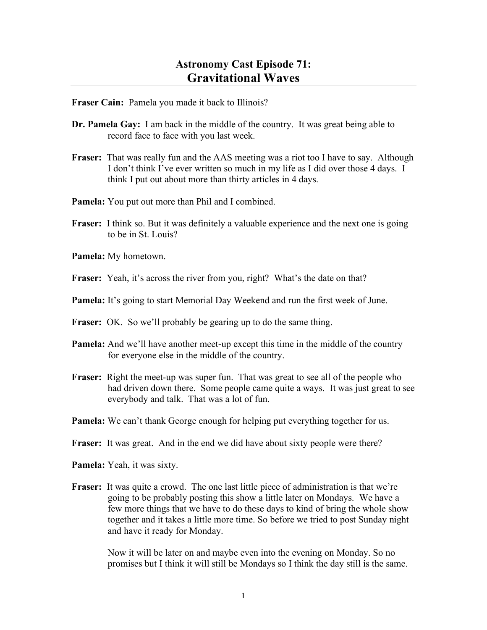**Fraser Cain:** Pamela you made it back to Illinois?

- **Dr. Pamela Gay:** I am back in the middle of the country. It was great being able to record face to face with you last week.
- **Fraser:** That was really fun and the AAS meeting was a riot too I have to say. Although I don't think I've ever written so much in my life as I did over those 4 days. I think I put out about more than thirty articles in 4 days.
- **Pamela:** You put out more than Phil and I combined.
- **Fraser:** I think so. But it was definitely a valuable experience and the next one is going to be in St. Louis?
- **Pamela:** My hometown.
- **Fraser:** Yeah, it's across the river from you, right? What's the date on that?
- **Pamela:** It's going to start Memorial Day Weekend and run the first week of June.
- **Fraser:** OK. So we'll probably be gearing up to do the same thing.
- **Pamela:** And we'll have another meet-up except this time in the middle of the country for everyone else in the middle of the country.
- **Fraser:** Right the meet-up was super fun. That was great to see all of the people who had driven down there. Some people came quite a ways. It was just great to see everybody and talk. That was a lot of fun.
- **Pamela:** We can't thank George enough for helping put everything together for us.
- **Fraser:** It was great. And in the end we did have about sixty people were there?
- **Pamela:** Yeah, it was sixty.
- **Fraser:** It was quite a crowd. The one last little piece of administration is that we're going to be probably posting this show a little later on Mondays. We have a few more things that we have to do these days to kind of bring the whole show together and it takes a little more time. So before we tried to post Sunday night and have it ready for Monday.

Now it will be later on and maybe even into the evening on Monday. So no promises but I think it will still be Mondays so I think the day still is the same.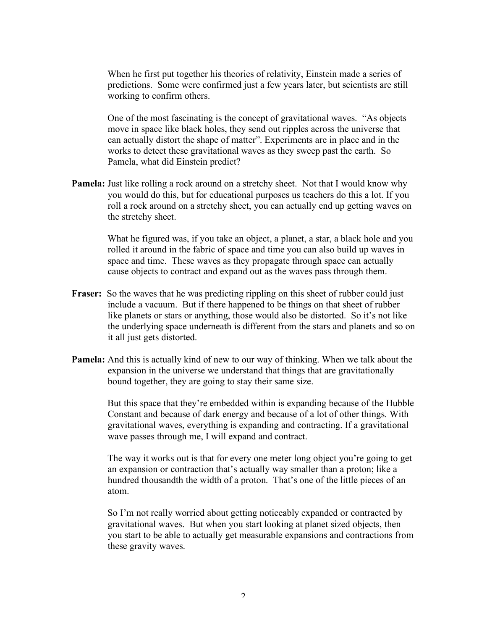When he first put together his theories of relativity, Einstein made a series of predictions. Some were confirmed just a few years later, but scientists are still working to confirm others.

One of the most fascinating is the concept of gravitational waves. "As objects move in space like black holes, they send out ripples across the universe that can actually distort the shape of matter". Experiments are in place and in the works to detect these gravitational waves as they sweep past the earth. So Pamela, what did Einstein predict?

**Pamela:** Just like rolling a rock around on a stretchy sheet. Not that I would know why you would do this, but for educational purposes us teachers do this a lot. If you roll a rock around on a stretchy sheet, you can actually end up getting waves on the stretchy sheet.

> What he figured was, if you take an object, a planet, a star, a black hole and you rolled it around in the fabric of space and time you can also build up waves in space and time. These waves as they propagate through space can actually cause objects to contract and expand out as the waves pass through them.

- **Fraser:** So the waves that he was predicting rippling on this sheet of rubber could just include a vacuum. But if there happened to be things on that sheet of rubber like planets or stars or anything, those would also be distorted. So it's not like the underlying space underneath is different from the stars and planets and so on it all just gets distorted.
- **Pamela:** And this is actually kind of new to our way of thinking. When we talk about the expansion in the universe we understand that things that are gravitationally bound together, they are going to stay their same size.

But this space that they're embedded within is expanding because of the Hubble Constant and because of dark energy and because of a lot of other things. With gravitational waves, everything is expanding and contracting. If a gravitational wave passes through me, I will expand and contract.

The way it works out is that for every one meter long object you're going to get an expansion or contraction that's actually way smaller than a proton; like a hundred thousandth the width of a proton. That's one of the little pieces of an atom.

So I'm not really worried about getting noticeably expanded or contracted by gravitational waves. But when you start looking at planet sized objects, then you start to be able to actually get measurable expansions and contractions from these gravity waves.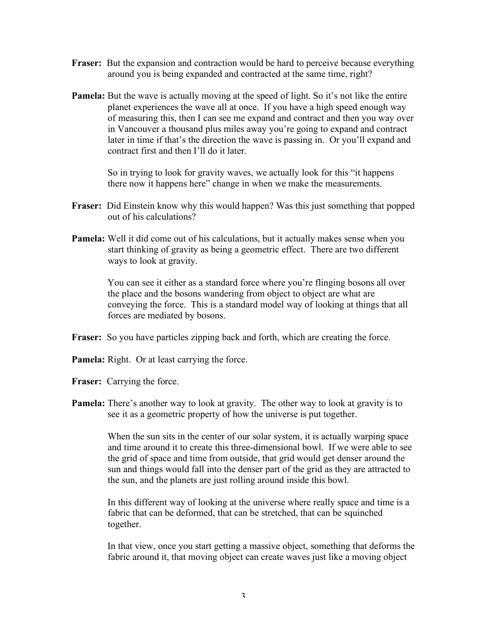- **Fraser:** But the expansion and contraction would be hard to perceive because everything around you is being expanded and contracted at the same time, right?
- **Pamela:** But the wave is actually moving at the speed of light. So it's not like the entire planet experiences the wave all at once. If you have a high speed enough way of measuring this, then I can see me expand and contract and then you way over in Vancouver a thousand plus miles away you're going to expand and contract later in time if that's the direction the wave is passing in. Or you'll expand and contract first and then I'll do it later.

So in trying to look for gravity waves, we actually look for this "it happens there now it happens here" change in when we make the measurements.

- **Fraser:** Did Einstein know why this would happen? Was this just something that popped out of his calculations?
- **Pamela:** Well it did come out of his calculations, but it actually makes sense when you start thinking of gravity as being a geometric effect. There are two different ways to look at gravity.

You can see it either as a standard force where you're flinging bosons all over the place and the bosons wandering from object to object are what are conveying the force. This is a standard model way of looking at things that all forces are mediated by bosons.

- **Fraser:** So you have particles zipping back and forth, which are creating the force.
- **Pamela:** Right. Or at least carrying the force.
- **Fraser:** Carrying the force.
- **Pamela:** There's another way to look at gravity. The other way to look at gravity is to see it as a geometric property of how the universe is put together.

When the sun sits in the center of our solar system, it is actually warping space and time around it to create this three-dimensional bowl. If we were able to see the grid of space and time from outside, that grid would get denser around the sun and things would fall into the denser part of the grid as they are attracted to the sun, and the planets are just rolling around inside this bowl.

In this different way of looking at the universe where really space and time is a fabric that can be deformed, that can be stretched, that can be squinched together.

In that view, once you start getting a massive object, something that deforms the fabric around it, that moving object can create waves just like a moving object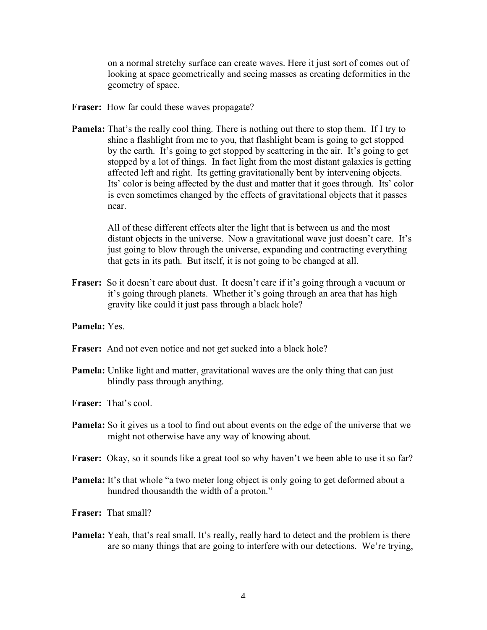on a normal stretchy surface can create waves. Here it just sort of comes out of looking at space geometrically and seeing masses as creating deformities in the geometry of space.

- **Fraser:** How far could these waves propagate?
- **Pamela:** That's the really cool thing. There is nothing out there to stop them. If I try to shine a flashlight from me to you, that flashlight beam is going to get stopped by the earth. It's going to get stopped by scattering in the air. It's going to get stopped by a lot of things. In fact light from the most distant galaxies is getting affected left and right. Its getting gravitationally bent by intervening objects. Its' color is being affected by the dust and matter that it goes through. Its' color is even sometimes changed by the effects of gravitational objects that it passes near.

All of these different effects alter the light that is between us and the most distant objects in the universe. Now a gravitational wave just doesn't care. It's just going to blow through the universe, expanding and contracting everything that gets in its path. But itself, it is not going to be changed at all.

- **Fraser:** So it doesn't care about dust. It doesn't care if it's going through a vacuum or it's going through planets. Whether it's going through an area that has high gravity like could it just pass through a black hole?
- **Pamela:** Yes.
- **Fraser:** And not even notice and not get sucked into a black hole?
- **Pamela:** Unlike light and matter, gravitational waves are the only thing that can just blindly pass through anything.
- **Fraser:** That's cool.
- **Pamela:** So it gives us a tool to find out about events on the edge of the universe that we might not otherwise have any way of knowing about.
- **Fraser:** Okay, so it sounds like a great tool so why haven't we been able to use it so far?
- **Pamela:** It's that whole "a two meter long object is only going to get deformed about a hundred thousandth the width of a proton."

**Fraser:** That small?

**Pamela:** Yeah, that's real small. It's really, really hard to detect and the problem is there are so many things that are going to interfere with our detections. We're trying,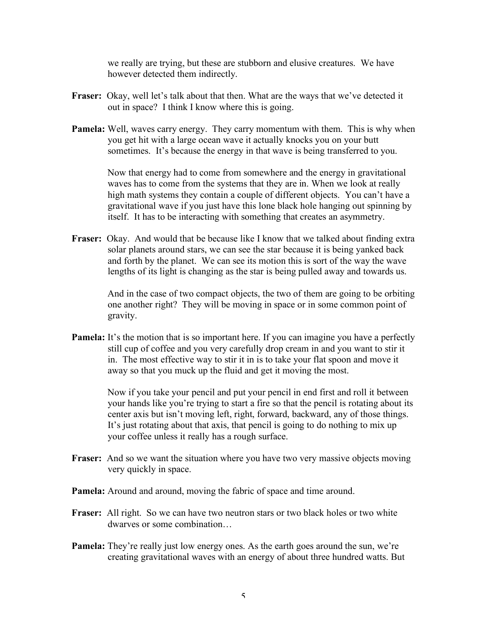we really are trying, but these are stubborn and elusive creatures. We have however detected them indirectly.

- **Fraser:** Okay, well let's talk about that then. What are the ways that we've detected it out in space? I think I know where this is going.
- **Pamela:** Well, waves carry energy. They carry momentum with them. This is why when you get hit with a large ocean wave it actually knocks you on your butt sometimes. It's because the energy in that wave is being transferred to you.

Now that energy had to come from somewhere and the energy in gravitational waves has to come from the systems that they are in. When we look at really high math systems they contain a couple of different objects. You can't have a gravitational wave if you just have this lone black hole hanging out spinning by itself. It has to be interacting with something that creates an asymmetry.

**Fraser:** Okay. And would that be because like I know that we talked about finding extra solar planets around stars, we can see the star because it is being yanked back and forth by the planet. We can see its motion this is sort of the way the wave lengths of its light is changing as the star is being pulled away and towards us.

> And in the case of two compact objects, the two of them are going to be orbiting one another right? They will be moving in space or in some common point of gravity.

**Pamela:** It's the motion that is so important here. If you can imagine you have a perfectly still cup of coffee and you very carefully drop cream in and you want to stir it in. The most effective way to stir it in is to take your flat spoon and move it away so that you muck up the fluid and get it moving the most.

> Now if you take your pencil and put your pencil in end first and roll it between your hands like you're trying to start a fire so that the pencil is rotating about its center axis but isn't moving left, right, forward, backward, any of those things. It's just rotating about that axis, that pencil is going to do nothing to mix up your coffee unless it really has a rough surface.

- **Fraser:** And so we want the situation where you have two very massive objects moving very quickly in space.
- **Pamela:** Around and around, moving the fabric of space and time around.
- **Fraser:** All right. So we can have two neutron stars or two black holes or two white dwarves or some combination…
- **Pamela:** They're really just low energy ones. As the earth goes around the sun, we're creating gravitational waves with an energy of about three hundred watts. But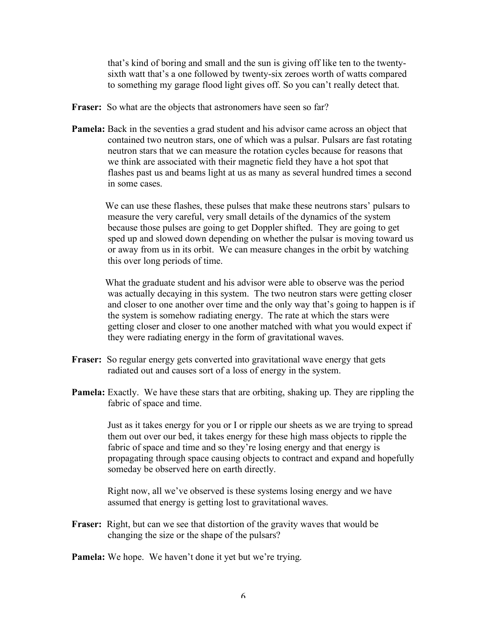that's kind of boring and small and the sun is giving off like ten to the twentysixth watt that's a one followed by twenty-six zeroes worth of watts compared to something my garage flood light gives off. So you can't really detect that.

- **Fraser:** So what are the objects that astronomers have seen so far?
- **Pamela:** Back in the seventies a grad student and his advisor came across an object that contained two neutron stars, one of which was a pulsar. Pulsars are fast rotating neutron stars that we can measure the rotation cycles because for reasons that we think are associated with their magnetic field they have a hot spot that flashes past us and beams light at us as many as several hundred times a second in some cases.

We can use these flashes, these pulses that make these neutrons stars' pulsars to measure the very careful, very small details of the dynamics of the system because those pulses are going to get Doppler shifted. They are going to get sped up and slowed down depending on whether the pulsar is moving toward us or away from us in its orbit. We can measure changes in the orbit by watching this over long periods of time.

What the graduate student and his advisor were able to observe was the period was actually decaying in this system. The two neutron stars were getting closer and closer to one another over time and the only way that's going to happen is if the system is somehow radiating energy. The rate at which the stars were getting closer and closer to one another matched with what you would expect if they were radiating energy in the form of gravitational waves.

- **Fraser:** So regular energy gets converted into gravitational wave energy that gets radiated out and causes sort of a loss of energy in the system.
- **Pamela:** Exactly. We have these stars that are orbiting, shaking up. They are rippling the fabric of space and time.

Just as it takes energy for you or I or ripple our sheets as we are trying to spread them out over our bed, it takes energy for these high mass objects to ripple the fabric of space and time and so they're losing energy and that energy is propagating through space causing objects to contract and expand and hopefully someday be observed here on earth directly.

Right now, all we've observed is these systems losing energy and we have assumed that energy is getting lost to gravitational waves.

**Fraser:** Right, but can we see that distortion of the gravity waves that would be changing the size or the shape of the pulsars?

**Pamela:** We hope. We haven't done it yet but we're trying.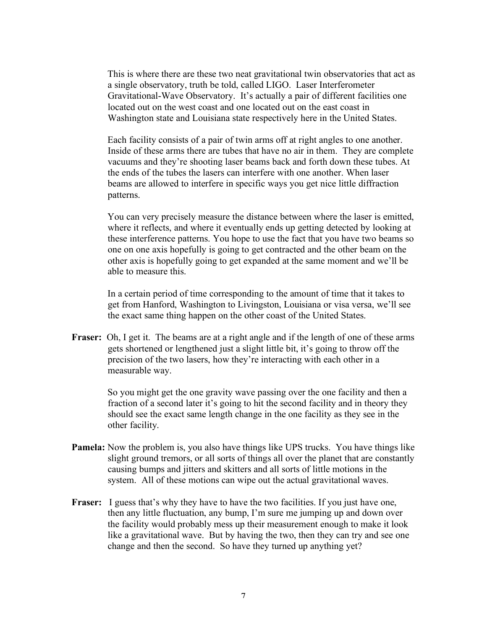This is where there are these two neat gravitational twin observatories that act as a single observatory, truth be told, called LIGO. Laser Interferometer Gravitational-Wave Observatory. It's actually a pair of different facilities one located out on the west coast and one located out on the east coast in Washington state and Louisiana state respectively here in the United States.

Each facility consists of a pair of twin arms off at right angles to one another. Inside of these arms there are tubes that have no air in them. They are complete vacuums and they're shooting laser beams back and forth down these tubes. At the ends of the tubes the lasers can interfere with one another. When laser beams are allowed to interfere in specific ways you get nice little diffraction patterns.

You can very precisely measure the distance between where the laser is emitted, where it reflects, and where it eventually ends up getting detected by looking at these interference patterns. You hope to use the fact that you have two beams so one on one axis hopefully is going to get contracted and the other beam on the other axis is hopefully going to get expanded at the same moment and we'll be able to measure this.

In a certain period of time corresponding to the amount of time that it takes to get from Hanford, Washington to Livingston, Louisiana or visa versa, we'll see the exact same thing happen on the other coast of the United States.

**Fraser:** Oh, I get it. The beams are at a right angle and if the length of one of these arms gets shortened or lengthened just a slight little bit, it's going to throw off the precision of the two lasers, how they're interacting with each other in a measurable way.

> So you might get the one gravity wave passing over the one facility and then a fraction of a second later it's going to hit the second facility and in theory they should see the exact same length change in the one facility as they see in the other facility.

- **Pamela:** Now the problem is, you also have things like UPS trucks. You have things like slight ground tremors, or all sorts of things all over the planet that are constantly causing bumps and jitters and skitters and all sorts of little motions in the system. All of these motions can wipe out the actual gravitational waves.
- **Fraser:** I guess that's why they have to have the two facilities. If you just have one, then any little fluctuation, any bump, I'm sure me jumping up and down over the facility would probably mess up their measurement enough to make it look like a gravitational wave. But by having the two, then they can try and see one change and then the second. So have they turned up anything yet?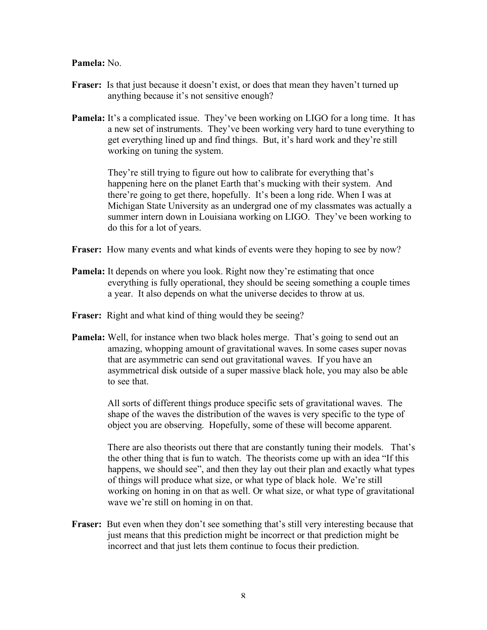## **Pamela:** No.

- **Fraser:** Is that just because it doesn't exist, or does that mean they haven't turned up anything because it's not sensitive enough?
- **Pamela:** It's a complicated issue. They've been working on LIGO for a long time. It has a new set of instruments. They've been working very hard to tune everything to get everything lined up and find things. But, it's hard work and they're still working on tuning the system.

They're still trying to figure out how to calibrate for everything that's happening here on the planet Earth that's mucking with their system. And there're going to get there, hopefully. It's been a long ride. When I was at Michigan State University as an undergrad one of my classmates was actually a summer intern down in Louisiana working on LIGO. They've been working to do this for a lot of years.

- **Fraser:** How many events and what kinds of events were they hoping to see by now?
- **Pamela:** It depends on where you look. Right now they're estimating that once everything is fully operational, they should be seeing something a couple times a year. It also depends on what the universe decides to throw at us.
- **Fraser:** Right and what kind of thing would they be seeing?
- **Pamela:** Well, for instance when two black holes merge. That's going to send out an amazing, whopping amount of gravitational waves. In some cases super novas that are asymmetric can send out gravitational waves. If you have an asymmetrical disk outside of a super massive black hole, you may also be able to see that.

All sorts of different things produce specific sets of gravitational waves. The shape of the waves the distribution of the waves is very specific to the type of object you are observing. Hopefully, some of these will become apparent.

There are also theorists out there that are constantly tuning their models. That's the other thing that is fun to watch. The theorists come up with an idea "If this happens, we should see", and then they lay out their plan and exactly what types of things will produce what size, or what type of black hole. We're still working on honing in on that as well. Or what size, or what type of gravitational wave we're still on homing in on that.

**Fraser:** But even when they don't see something that's still very interesting because that just means that this prediction might be incorrect or that prediction might be incorrect and that just lets them continue to focus their prediction.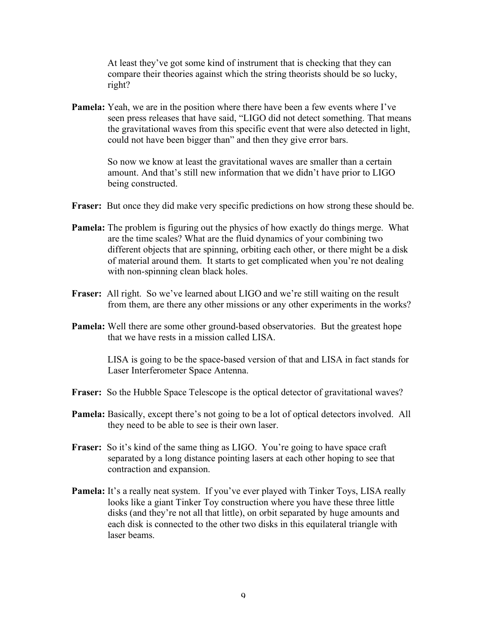At least they've got some kind of instrument that is checking that they can compare their theories against which the string theorists should be so lucky, right?

**Pamela:** Yeah, we are in the position where there have been a few events where I've seen press releases that have said, "LIGO did not detect something. That means the gravitational waves from this specific event that were also detected in light, could not have been bigger than" and then they give error bars.

> So now we know at least the gravitational waves are smaller than a certain amount. And that's still new information that we didn't have prior to LIGO being constructed.

- **Fraser:** But once they did make very specific predictions on how strong these should be.
- **Pamela:** The problem is figuring out the physics of how exactly do things merge. What are the time scales? What are the fluid dynamics of your combining two different objects that are spinning, orbiting each other, or there might be a disk of material around them. It starts to get complicated when you're not dealing with non-spinning clean black holes.
- **Fraser:** All right. So we've learned about LIGO and we're still waiting on the result from them, are there any other missions or any other experiments in the works?
- **Pamela:** Well there are some other ground-based observatories. But the greatest hope that we have rests in a mission called LISA.

LISA is going to be the space-based version of that and LISA in fact stands for Laser Interferometer Space Antenna.

- **Fraser:** So the Hubble Space Telescope is the optical detector of gravitational waves?
- **Pamela:** Basically, except there's not going to be a lot of optical detectors involved. All they need to be able to see is their own laser.
- **Fraser:** So it's kind of the same thing as LIGO. You're going to have space craft separated by a long distance pointing lasers at each other hoping to see that contraction and expansion.
- **Pamela:** It's a really neat system. If you've ever played with Tinker Toys, LISA really looks like a giant Tinker Toy construction where you have these three little disks (and they're not all that little), on orbit separated by huge amounts and each disk is connected to the other two disks in this equilateral triangle with laser beams.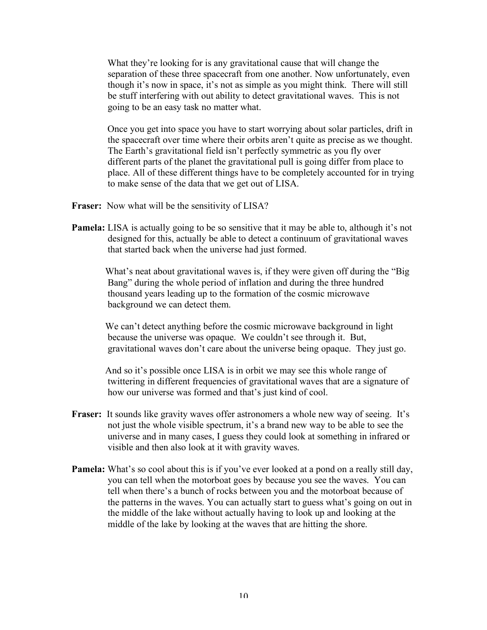What they're looking for is any gravitational cause that will change the separation of these three spacecraft from one another. Now unfortunately, even though it's now in space, it's not as simple as you might think. There will still be stuff interfering with out ability to detect gravitational waves. This is not going to be an easy task no matter what.

Once you get into space you have to start worrying about solar particles, drift in the spacecraft over time where their orbits aren't quite as precise as we thought. The Earth's gravitational field isn't perfectly symmetric as you fly over different parts of the planet the gravitational pull is going differ from place to place. All of these different things have to be completely accounted for in trying to make sense of the data that we get out of LISA.

- **Fraser:** Now what will be the sensitivity of LISA?
- **Pamela:** LISA is actually going to be so sensitive that it may be able to, although it's not designed for this, actually be able to detect a continuum of gravitational waves that started back when the universe had just formed.

What's neat about gravitational waves is, if they were given off during the "Big Bang" during the whole period of inflation and during the three hundred thousand years leading up to the formation of the cosmic microwave background we can detect them.

We can't detect anything before the cosmic microwave background in light because the universe was opaque. We couldn't see through it. But, gravitational waves don't care about the universe being opaque. They just go.

And so it's possible once LISA is in orbit we may see this whole range of twittering in different frequencies of gravitational waves that are a signature of how our universe was formed and that's just kind of cool.

- **Fraser:** It sounds like gravity waves offer astronomers a whole new way of seeing. It's not just the whole visible spectrum, it's a brand new way to be able to see the universe and in many cases, I guess they could look at something in infrared or visible and then also look at it with gravity waves.
- **Pamela:** What's so cool about this is if you've ever looked at a pond on a really still day, you can tell when the motorboat goes by because you see the waves. You can tell when there's a bunch of rocks between you and the motorboat because of the patterns in the waves. You can actually start to guess what's going on out in the middle of the lake without actually having to look up and looking at the middle of the lake by looking at the waves that are hitting the shore.